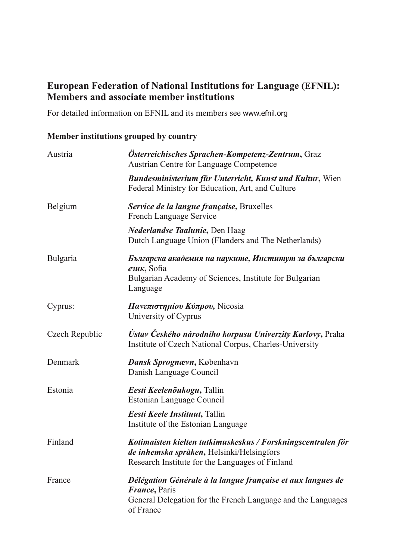## **European Federation of National Institutions for Language (EFNIL): Members and associate member institutions**

For detailed information on EFNIL and its members see www.efnil.org

## **Member institutions grouped by country**

| Austria         | Österreichisches Sprachen-Kompetenz-Zentrum, Graz<br><b>Austrian Centre for Language Competence</b>                                                               |
|-----------------|-------------------------------------------------------------------------------------------------------------------------------------------------------------------|
|                 | <b>Bundesministerium für Unterricht, Kunst und Kultur, Wien</b><br>Federal Ministry for Education, Art, and Culture                                               |
| <b>Belgium</b>  | Service de la langue française, Bruxelles<br>French Language Service                                                                                              |
|                 | Nederlandse Taalunie, Den Haag<br>Dutch Language Union (Flanders and The Netherlands)                                                                             |
| <b>Bulgaria</b> | Българска академия на науките, Институт за български<br>$e3uK$ , Sofia<br>Bulgarian Academy of Sciences, Institute for Bulgarian<br>Language                      |
| Cyprus:         | Πανεπιστημίου Κύπρου, Nicosia<br>University of Cyprus                                                                                                             |
| Czech Republic  | Ústav Českého národního korpusu Univerzity Karlovy, Praha<br>Institute of Czech National Corpus, Charles-University                                               |
| Denmark         | Dansk Sprognævn, København<br>Danish Language Council                                                                                                             |
| Estonia         | Eesti Keelenõukogu, Tallin<br>Estonian Language Council                                                                                                           |
|                 | Eesti Keele Instituut, Tallin<br>Institute of the Estonian Language                                                                                               |
| Finland         | Kotimaisten kielten tutkimuskeskus / Forskningscentralen för<br>de inhemska språken, Helsinki/Helsingfors<br>Research Institute for the Languages of Finland      |
| France          | Délégation Générale à la langue française et aux langues de<br><i>France</i> , Paris<br>General Delegation for the French Language and the Languages<br>of France |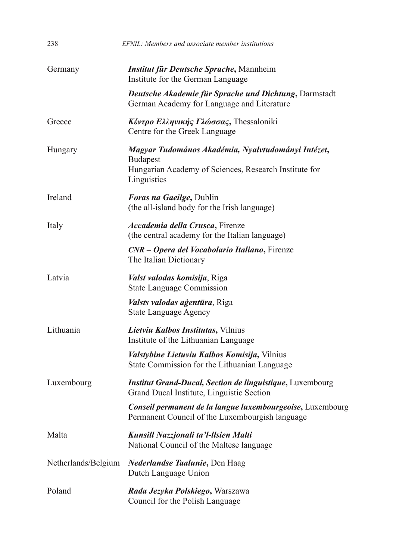| 238                 | EFNIL: Members and associate member institutions                                                                                              |
|---------------------|-----------------------------------------------------------------------------------------------------------------------------------------------|
| Germany             | <b>Institut für Deutsche Sprache, Mannheim</b><br>Institute for the German Language                                                           |
|                     | Deutsche Akademie für Sprache und Dichtung, Darmstadt<br>German Academy for Language and Literature                                           |
| Greece              | Κέντρο Ελληνικής Γλώσσας, Thessaloniki<br>Centre for the Greek Language                                                                       |
| Hungary             | Magyar Tudomános Akadémia, Nyalvtudományi Intézet,<br><b>Budapest</b><br>Hungarian Academy of Sciences, Research Institute for<br>Linguistics |
| Ireland             | Foras na Gaeilge, Dublin<br>(the all-island body for the Irish language)                                                                      |
| Italy               | Accademia della Crusca, Firenze<br>(the central academy for the Italian language)                                                             |
|                     | CNR – Opera del Vocabolario Italiano, Firenze<br>The Italian Dictionary                                                                       |
| Latvia              | Valst valodas komisija, Riga<br><b>State Language Commission</b>                                                                              |
|                     | <i>Valsts valodas agentūra</i> , Riga<br><b>State Language Agency</b>                                                                         |
| Lithuania           | Lietviu Kalbos Institutas, Vilnius<br>Institute of the Lithuanian Language                                                                    |
|                     | Valstybine Lietuviu Kalbos Komisija, Vilnius<br>State Commission for the Lithuanian Language                                                  |
| Luxembourg          | <b>Institut Grand-Ducal, Section de linguistique, Luxembourg</b><br>Grand Ducal Institute, Linguistic Section                                 |
|                     | Conseil permanent de la langue luxembourgeoise, Luxembourg<br>Permanent Council of the Luxembourgish language                                 |
| Malta               | Kunsill Nazzjonali ta'l-llsien Malti<br>National Council of the Maltese language                                                              |
| Netherlands/Belgium | <i>Nederlandse Taalunie</i> , Den Haag<br>Dutch Language Union                                                                                |
| Poland              | Rada Jezyka Polskiego, Warszawa<br>Council for the Polish Language                                                                            |